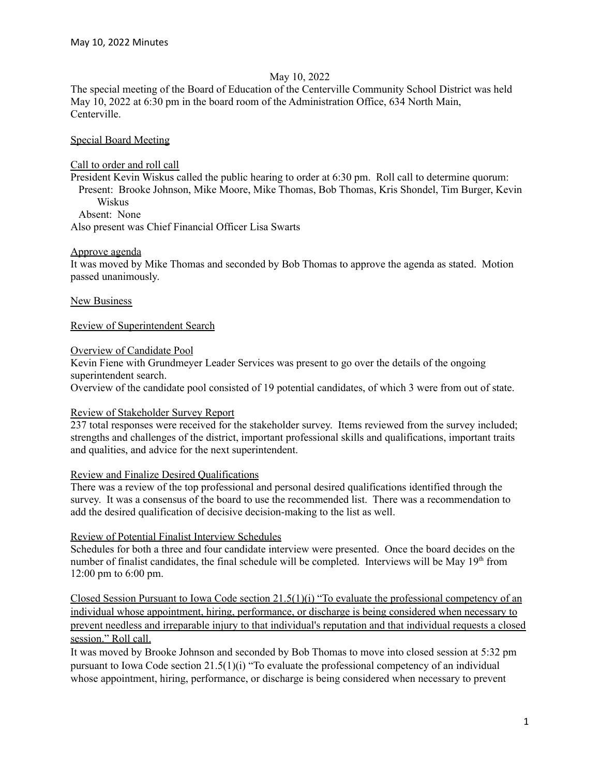### May 10, 2022

The special meeting of the Board of Education of the Centerville Community School District was held May 10, 2022 at 6:30 pm in the board room of the Administration Office, 634 North Main, Centerville.

# Special Board Meeting

### Call to order and roll call

President Kevin Wiskus called the public hearing to order at 6:30 pm. Roll call to determine quorum: Present: Brooke Johnson, Mike Moore, Mike Thomas, Bob Thomas, Kris Shondel, Tim Burger, Kevin Wiskus Absent: None

Also present was Chief Financial Officer Lisa Swarts

# Approve agenda

It was moved by Mike Thomas and seconded by Bob Thomas to approve the agenda as stated. Motion passed unanimously.

New Business

Review of Superintendent Search

# Overview of Candidate Pool

Kevin Fiene with Grundmeyer Leader Services was present to go over the details of the ongoing superintendent search.

Overview of the candidate pool consisted of 19 potential candidates, of which 3 were from out of state.

#### Review of Stakeholder Survey Report

237 total responses were received for the stakeholder survey. Items reviewed from the survey included; strengths and challenges of the district, important professional skills and qualifications, important traits and qualities, and advice for the next superintendent.

#### Review and Finalize Desired Qualifications

There was a review of the top professional and personal desired qualifications identified through the survey. It was a consensus of the board to use the recommended list. There was a recommendation to add the desired qualification of decisive decision-making to the list as well.

# Review of Potential Finalist Interview Schedules

Schedules for both a three and four candidate interview were presented. Once the board decides on the number of finalist candidates, the final schedule will be completed. Interviews will be May 19<sup>th</sup> from 12:00 pm to 6:00 pm.

Closed Session Pursuant to Iowa Code section 21.5(1)(i) "To evaluate the professional competency of an individual whose appointment, hiring, performance, or discharge is being considered when necessary to prevent needless and irreparable injury to that individual's reputation and that individual requests a closed session." Roll call.

It was moved by Brooke Johnson and seconded by Bob Thomas to move into closed session at 5:32 pm pursuant to Iowa Code section 21.5(1)(i) "To evaluate the professional competency of an individual whose appointment, hiring, performance, or discharge is being considered when necessary to prevent